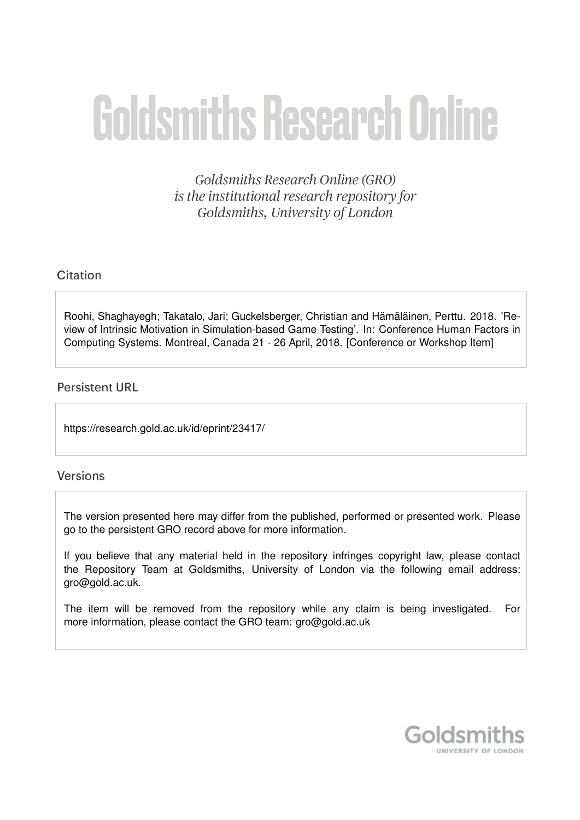# Goldsmiths Research Online

Goldsmiths Research Online (GRO) is the institutional research repository for Goldsmiths, University of London

# Citation

Roohi, Shaghayegh; Takatalo, Jari; Guckelsberger, Christian and Hämäläinen, Perttu, 2018. 'Review of Intrinsic Motivation in Simulation-based Game Testing'. In: Conference Human Factors in Computing Systems. Montreal, Canada 21 - 26 April, 2018. [Conference or Workshop Item]

# **Persistent URL**

https://research.gold.ac.uk/id/eprint/23417/

## **Versions**

The version presented here may differ from the published, performed or presented work. Please go to the persistent GRO record above for more information.

If you believe that any material held in the repository infringes copyright law, please contact the Repository Team at Goldsmiths, University of London via the following email address: gro@gold.ac.uk.

The item will be removed from the repository while any claim is being investigated. For more information, please contact the GRO team: gro@gold.ac.uk

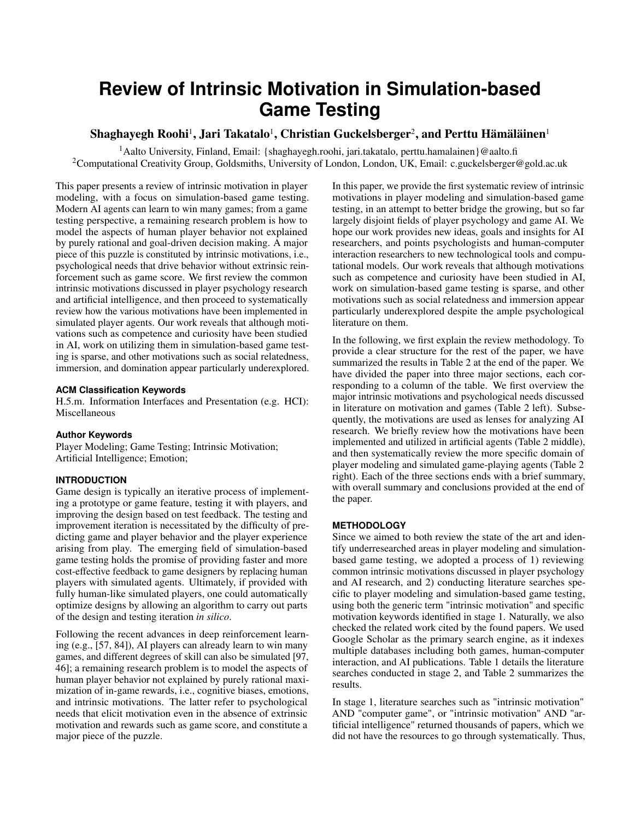# **Review of Intrinsic Motivation in Simulation-based Game Testing**

### $\mathbf S$ haghayegh Roohi $^1$ , Jari Takatalo $^1$ , Christian Guckelsberger $^2$ , and Perttu Hämäläinen $^1$

<sup>1</sup>Aalto University, Finland, Email: {shaghayegh.roohi, jari.takatalo, perttu.hamalainen}@aalto.fi <sup>2</sup>Computational Creativity Group, Goldsmiths, University of London, London, UK, Email: c.guckelsberger@gold.ac.uk

This paper presents a review of intrinsic motivation in player modeling, with a focus on simulation-based game testing. Modern AI agents can learn to win many games; from a game testing perspective, a remaining research problem is how to model the aspects of human player behavior not explained by purely rational and goal-driven decision making. A major piece of this puzzle is constituted by intrinsic motivations, i.e., psychological needs that drive behavior without extrinsic reinforcement such as game score. We first review the common intrinsic motivations discussed in player psychology research and artificial intelligence, and then proceed to systematically review how the various motivations have been implemented in simulated player agents. Our work reveals that although motivations such as competence and curiosity have been studied in AI, work on utilizing them in simulation-based game testing is sparse, and other motivations such as social relatedness, immersion, and domination appear particularly underexplored.

#### **ACM Classification Keywords**

H.5.m. Information Interfaces and Presentation (e.g. HCI): Miscellaneous

#### **Author Keywords**

Player Modeling; Game Testing; Intrinsic Motivation; Artificial Intelligence; Emotion;

#### **INTRODUCTION**

Game design is typically an iterative process of implementing a prototype or game feature, testing it with players, and improving the design based on test feedback. The testing and improvement iteration is necessitated by the difficulty of predicting game and player behavior and the player experience arising from play. The emerging field of simulation-based game testing holds the promise of providing faster and more cost-effective feedback to game designers by replacing human players with simulated agents. Ultimately, if provided with fully human-like simulated players, one could automatically optimize designs by allowing an algorithm to carry out parts of the design and testing iteration *in silico*.

Following the recent advances in deep reinforcement learning (e.g., [\[57,](#page-11-0) [84\]](#page-12-0)), AI players can already learn to win many games, and different degrees of skill can also be simulated [\[97,](#page-12-1) [46\]](#page-10-0); a remaining research problem is to model the aspects of human player behavior not explained by purely rational maximization of in-game rewards, i.e., cognitive biases, emotions, and intrinsic motivations. The latter refer to psychological needs that elicit motivation even in the absence of extrinsic motivation and rewards such as game score, and constitute a major piece of the puzzle.

In this paper, we provide the first systematic review of intrinsic motivations in player modeling and simulation-based game testing, in an attempt to better bridge the growing, but so far largely disjoint fields of player psychology and game AI. We hope our work provides new ideas, goals and insights for AI researchers, and points psychologists and human-computer interaction researchers to new technological tools and computational models. Our work reveals that although motivations such as competence and curiosity have been studied in AI, work on simulation-based game testing is sparse, and other motivations such as social relatedness and immersion appear particularly underexplored despite the ample psychological literature on them.

In the following, we first explain the review methodology. To provide a clear structure for the rest of the paper, we have summarized the results in Table [2](#page-13-0) at the end of the paper. We have divided the paper into three major sections, each corresponding to a column of the table. We first overview the major intrinsic motivations and psychological needs discussed in literature on motivation and games (Table [2](#page-13-0) left). Subsequently, the motivations are used as lenses for analyzing AI research. We briefly review how the motivations have been implemented and utilized in artificial agents (Table [2](#page-13-0) middle), and then systematically review the more specific domain of player modeling and simulated game-playing agents (Table [2](#page-13-0) right). Each of the three sections ends with a brief summary, with overall summary and conclusions provided at the end of the paper.

#### **METHODOLOGY**

Since we aimed to both review the state of the art and identify underresearched areas in player modeling and simulationbased game testing, we adopted a process of 1) reviewing common intrinsic motivations discussed in player psychology and AI research, and 2) conducting literature searches specific to player modeling and simulation-based game testing, using both the generic term "intrinsic motivation" and specific motivation keywords identified in stage 1. Naturally, we also checked the related work cited by the found papers. We used Google Scholar as the primary search engine, as it indexes multiple databases including both games, human-computer interaction, and AI publications. Table [1](#page-2-0) details the literature searches conducted in stage 2, and Table [2](#page-13-0) summarizes the results.

In stage 1, literature searches such as "intrinsic motivation" AND "computer game", or "intrinsic motivation" AND "artificial intelligence" returned thousands of papers, which we did not have the resources to go through systematically. Thus,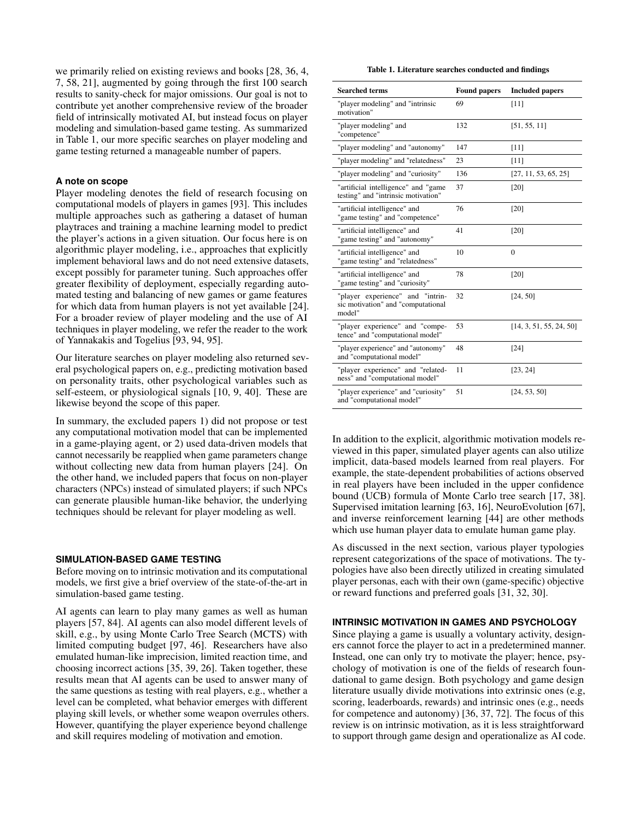we primarily relied on existing reviews and books [\[28,](#page-10-1) [36,](#page-10-2) [4,](#page-9-0) [7,](#page-9-1) [58,](#page-11-1) [21\]](#page-9-2), augmented by going through the first 100 search results to sanity-check for major omissions. Our goal is not to contribute yet another comprehensive review of the broader field of intrinsically motivated AI, but instead focus on player modeling and simulation-based game testing. As summarized in Table [1,](#page-2-0) our more specific searches on player modeling and game testing returned a manageable number of papers.

#### **A note on scope**

Player modeling denotes the field of research focusing on computational models of players in games [\[93\]](#page-12-2). This includes multiple approaches such as gathering a dataset of human playtraces and training a machine learning model to predict the player's actions in a given situation. Our focus here is on algorithmic player modeling, i.e., approaches that explicitly implement behavioral laws and do not need extensive datasets, except possibly for parameter tuning. Such approaches offer greater flexibility of deployment, especially regarding automated testing and balancing of new games or game features for which data from human players is not yet available [\[24\]](#page-10-3). For a broader review of player modeling and the use of AI techniques in player modeling, we refer the reader to the work of Yannakakis and Togelius [\[93,](#page-12-2) [94,](#page-12-3) [95\]](#page-12-4).

Our literature searches on player modeling also returned several psychological papers on, e.g., predicting motivation based on personality traits, other psychological variables such as self-esteem, or physiological signals [\[10,](#page-9-3) [9,](#page-9-4) [40\]](#page-10-4). These are likewise beyond the scope of this paper.

In summary, the excluded papers 1) did not propose or test any computational motivation model that can be implemented in a game-playing agent, or 2) used data-driven models that cannot necessarily be reapplied when game parameters change without collecting new data from human players [\[24\]](#page-10-3). On the other hand, we included papers that focus on non-player characters (NPCs) instead of simulated players; if such NPCs can generate plausible human-like behavior, the underlying techniques should be relevant for player modeling as well.

#### **SIMULATION-BASED GAME TESTING**

Before moving on to intrinsic motivation and its computational models, we first give a brief overview of the state-of-the-art in simulation-based game testing.

AI agents can learn to play many games as well as human players [\[57,](#page-11-0) [84\]](#page-12-0). AI agents can also model different levels of skill, e.g., by using Monte Carlo Tree Search (MCTS) with limited computing budget [\[97,](#page-12-1) [46\]](#page-10-0). Researchers have also emulated human-like imprecision, limited reaction time, and choosing incorrect actions [\[35,](#page-10-5) [39,](#page-10-6) [26\]](#page-10-7). Taken together, these results mean that AI agents can be used to answer many of the same questions as testing with real players, e.g., whether a level can be completed, what behavior emerges with different playing skill levels, or whether some weapon overrules others. However, quantifying the player experience beyond challenge and skill requires modeling of motivation and emotion.

<span id="page-2-0"></span>Table 1. Literature searches conducted and findings

| <b>Searched terms</b>                                                            | <b>Found papers</b> | <b>Included papers</b>  |
|----------------------------------------------------------------------------------|---------------------|-------------------------|
| "player modeling" and "intrinsic<br>motivation"                                  | 69                  | [11]                    |
| "player modeling" and<br>"competence"                                            | 132                 | [51, 55, 11]            |
| "player modeling" and "autonomy"                                                 | 147                 | $[11]$                  |
| "player modeling" and "relatedness"                                              | 23                  | [11]                    |
| "player modeling" and "curiosity"                                                | 136                 | [27, 11, 53, 65, 25]    |
| "artificial intelligence" and "game<br>testing" and "intrinsic motivation"       | 37                  | [20]                    |
| "artificial intelligence" and<br>"game testing" and "competence"                 | 76                  | [20]                    |
| "artificial intelligence" and<br>"game testing" and "autonomy"                   | 41                  | [20]                    |
| "artificial intelligence" and<br>"game testing" and "relatedness"                | 10                  | $\Omega$                |
| "artificial intelligence" and<br>"game testing" and "curiosity"                  | 78                  | [20]                    |
| "player experience" and "intrin-<br>sic motivation" and "computational<br>model" | 32                  | [24, 50]                |
| "player experience" and "compe-<br>tence" and "computational model"              | 53                  | [14, 3, 51, 55, 24, 50] |
| "player experience" and "autonomy"<br>and "computational model"                  | 48                  | [24]                    |
| "player experience" and "related-<br>ness" and "computational model"             | 11                  | [23, 24]                |
| "player experience" and "curiosity"<br>and "computational model"                 | 51                  | [24, 53, 50]            |

In addition to the explicit, algorithmic motivation models reviewed in this paper, simulated player agents can also utilize implicit, data-based models learned from real players. For example, the state-dependent probabilities of actions observed in real players have been included in the upper confidence bound (UCB) formula of Monte Carlo tree search [\[17,](#page-9-10) [38\]](#page-10-10). Supervised imitation learning [\[63,](#page-11-7) [16\]](#page-9-11), NeuroEvolution [\[67\]](#page-11-8), and inverse reinforcement learning [\[44\]](#page-10-11) are other methods which use human player data to emulate human game play.

As discussed in the next section, various player typologies represent categorizations of the space of motivations. The typologies have also been directly utilized in creating simulated player personas, each with their own (game-specific) objective or reward functions and preferred goals [\[31,](#page-10-12) [32,](#page-10-13) [30\]](#page-10-14).

#### **INTRINSIC MOTIVATION IN GAMES AND PSYCHOLOGY**

Since playing a game is usually a voluntary activity, designers cannot force the player to act in a predetermined manner. Instead, one can only try to motivate the player; hence, psychology of motivation is one of the fields of research foundational to game design. Both psychology and game design literature usually divide motivations into extrinsic ones (e.g, scoring, leaderboards, rewards) and intrinsic ones (e.g., needs for competence and autonomy) [\[36,](#page-10-2) [37,](#page-10-15) [72\]](#page-11-9). The focus of this review is on intrinsic motivation, as it is less straightforward to support through game design and operationalize as AI code.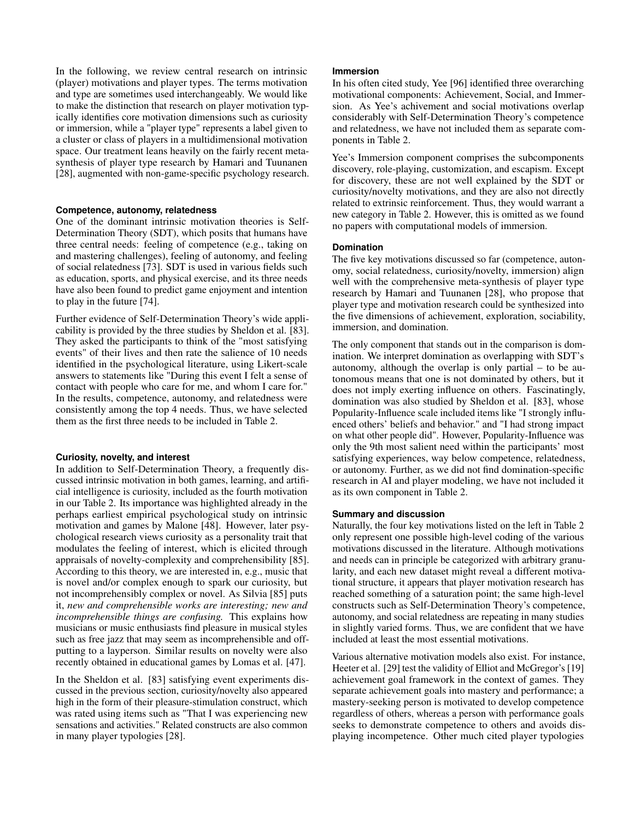In the following, we review central research on intrinsic (player) motivations and player types. The terms motivation and type are sometimes used interchangeably. We would like to make the distinction that research on player motivation typically identifies core motivation dimensions such as curiosity or immersion, while a "player type" represents a label given to a cluster or class of players in a multidimensional motivation space. Our treatment leans heavily on the fairly recent metasynthesis of player type research by Hamari and Tuunanen [\[28\]](#page-10-1), augmented with non-game-specific psychology research.

#### **Competence, autonomy, relatedness**

One of the dominant intrinsic motivation theories is Self-Determination Theory (SDT), which posits that humans have three central needs: feeling of competence (e.g., taking on and mastering challenges), feeling of autonomy, and feeling of social relatedness [\[73\]](#page-11-10). SDT is used in various fields such as education, sports, and physical exercise, and its three needs have also been found to predict game enjoyment and intention to play in the future [\[74\]](#page-11-11).

Further evidence of Self-Determination Theory's wide applicability is provided by the three studies by Sheldon et al. [\[83\]](#page-12-5). They asked the participants to think of the "most satisfying events" of their lives and then rate the salience of 10 needs identified in the psychological literature, using Likert-scale answers to statements like "During this event I felt a sense of contact with people who care for me, and whom I care for." In the results, competence, autonomy, and relatedness were consistently among the top 4 needs. Thus, we have selected them as the first three needs to be included in Table [2.](#page-13-0)

#### **Curiosity, novelty, and interest**

In addition to Self-Determination Theory, a frequently discussed intrinsic motivation in both games, learning, and artificial intelligence is curiosity, included as the fourth motivation in our Table [2.](#page-13-0) Its importance was highlighted already in the perhaps earliest empirical psychological study on intrinsic motivation and games by Malone [\[48\]](#page-10-16). However, later psychological research views curiosity as a personality trait that modulates the feeling of interest, which is elicited through appraisals of novelty-complexity and comprehensibility [\[85\]](#page-12-6). According to this theory, we are interested in, e.g., music that is novel and/or complex enough to spark our curiosity, but not incomprehensibly complex or novel. As Silvia [\[85\]](#page-12-6) puts it, *new and comprehensible works are interesting; new and incomprehensible things are confusing.* This explains how musicians or music enthusiasts find pleasure in musical styles such as free jazz that may seem as incomprehensible and offputting to a layperson. Similar results on novelty were also recently obtained in educational games by Lomas et al. [\[47\]](#page-10-17).

In the Sheldon et al. [\[83\]](#page-12-5) satisfying event experiments discussed in the previous section, curiosity/novelty also appeared high in the form of their pleasure-stimulation construct, which was rated using items such as "That I was experiencing new sensations and activities." Related constructs are also common in many player typologies [\[28\]](#page-10-1).

#### **Immersion**

In his often cited study, Yee [\[96\]](#page-12-7) identified three overarching motivational components: Achievement, Social, and Immersion. As Yee's achivement and social motivations overlap considerably with Self-Determination Theory's competence and relatedness, we have not included them as separate components in Table [2.](#page-13-0)

Yee's Immersion component comprises the subcomponents discovery, role-playing, customization, and escapism. Except for discovery, these are not well explained by the SDT or curiosity/novelty motivations, and they are also not directly related to extrinsic reinforcement. Thus, they would warrant a new category in Table [2.](#page-13-0) However, this is omitted as we found no papers with computational models of immersion.

#### **Domination**

The five key motivations discussed so far (competence, autonomy, social relatedness, curiosity/novelty, immersion) align well with the comprehensive meta-synthesis of player type research by Hamari and Tuunanen [\[28\]](#page-10-1), who propose that player type and motivation research could be synthesized into the five dimensions of achievement, exploration, sociability, immersion, and domination.

The only component that stands out in the comparison is domination. We interpret domination as overlapping with SDT's autonomy, although the overlap is only partial – to be autonomous means that one is not dominated by others, but it does not imply exerting influence on others. Fascinatingly, domination was also studied by Sheldon et al. [\[83\]](#page-12-5), whose Popularity-Influence scale included items like "I strongly influenced others' beliefs and behavior." and "I had strong impact on what other people did". However, Popularity-Influence was only the 9th most salient need within the participants' most satisfying experiences, way below competence, relatedness, or autonomy. Further, as we did not find domination-specific research in AI and player modeling, we have not included it as its own component in Table [2.](#page-13-0)

#### **Summary and discussion**

Naturally, the four key motivations listed on the left in Table [2](#page-13-0) only represent one possible high-level coding of the various motivations discussed in the literature. Although motivations and needs can in principle be categorized with arbitrary granularity, and each new dataset might reveal a different motivational structure, it appears that player motivation research has reached something of a saturation point; the same high-level constructs such as Self-Determination Theory's competence, autonomy, and social relatedness are repeating in many studies in slightly varied forms. Thus, we are confident that we have included at least the most essential motivations.

Various alternative motivation models also exist. For instance, Heeter et al. [\[29\]](#page-10-18) test the validity of Elliot and McGregor's [\[19\]](#page-9-12) achievement goal framework in the context of games. They separate achievement goals into mastery and performance; a mastery-seeking person is motivated to develop competence regardless of others, whereas a person with performance goals seeks to demonstrate competence to others and avoids displaying incompetence. Other much cited player typologies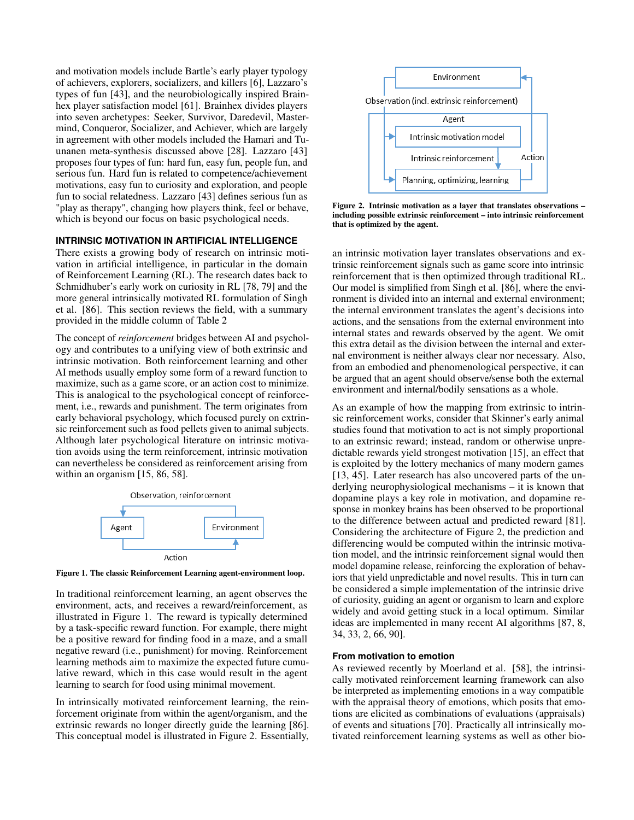and motivation models include Bartle's early player typology of achievers, explorers, socializers, and killers [\[6\]](#page-9-13), Lazzaro's types of fun [\[43\]](#page-10-19), and the neurobiologically inspired Brainhex player satisfaction model [\[61\]](#page-11-12). Brainhex divides players into seven archetypes: Seeker, Survivor, Daredevil, Mastermind, Conqueror, Socializer, and Achiever, which are largely in agreement with other models included the Hamari and Tuunanen meta-synthesis discussed above [\[28\]](#page-10-1). Lazzaro [\[43\]](#page-10-19) proposes four types of fun: hard fun, easy fun, people fun, and serious fun. Hard fun is related to competence/achievement motivations, easy fun to curiosity and exploration, and people fun to social relatedness. Lazzaro [\[43\]](#page-10-19) defines serious fun as "play as therapy", changing how players think, feel or behave, which is beyond our focus on basic psychological needs.

#### **INTRINSIC MOTIVATION IN ARTIFICIAL INTELLIGENCE**

There exists a growing body of research on intrinsic motivation in artificial intelligence, in particular in the domain of Reinforcement Learning (RL). The research dates back to Schmidhuber's early work on curiosity in RL [\[78,](#page-12-8) [79\]](#page-12-9) and the more general intrinsically motivated RL formulation of Singh et al. [\[86\]](#page-12-10). This section reviews the field, with a summary provided in the middle column of Table [2](#page-13-0)

The concept of *reinforcement* bridges between AI and psychology and contributes to a unifying view of both extrinsic and intrinsic motivation. Both reinforcement learning and other AI methods usually employ some form of a reward function to maximize, such as a game score, or an action cost to minimize. This is analogical to the psychological concept of reinforcement, i.e., rewards and punishment. The term originates from early behavioral psychology, which focused purely on extrinsic reinforcement such as food pellets given to animal subjects. Although later psychological literature on intrinsic motivation avoids using the term reinforcement, intrinsic motivation can nevertheless be considered as reinforcement arising from within an organism [\[15,](#page-9-14) [86,](#page-12-10) [58\]](#page-11-1).



<span id="page-4-0"></span>Figure 1. The classic Reinforcement Learning agent-environment loop.

In traditional reinforcement learning, an agent observes the environment, acts, and receives a reward/reinforcement, as illustrated in Figure [1.](#page-4-0) The reward is typically determined by a task-specific reward function. For example, there might be a positive reward for finding food in a maze, and a small negative reward (i.e., punishment) for moving. Reinforcement learning methods aim to maximize the expected future cumulative reward, which in this case would result in the agent learning to search for food using minimal movement.

In intrinsically motivated reinforcement learning, the reinforcement originate from within the agent/organism, and the extrinsic rewards no longer directly guide the learning [\[86\]](#page-12-10). This conceptual model is illustrated in Figure [2.](#page-4-1) Essentially,



<span id="page-4-1"></span>Figure 2. Intrinsic motivation as a layer that translates observations – including possible extrinsic reinforcement – into intrinsic reinforcement that is optimized by the agent.

an intrinsic motivation layer translates observations and extrinsic reinforcement signals such as game score into intrinsic reinforcement that is then optimized through traditional RL. Our model is simplified from Singh et al. [\[86\]](#page-12-10), where the environment is divided into an internal and external environment; the internal environment translates the agent's decisions into actions, and the sensations from the external environment into internal states and rewards observed by the agent. We omit this extra detail as the division between the internal and external environment is neither always clear nor necessary. Also, from an embodied and phenomenological perspective, it can be argued that an agent should observe/sense both the external environment and internal/bodily sensations as a whole.

As an example of how the mapping from extrinsic to intrinsic reinforcement works, consider that Skinner's early animal studies found that motivation to act is not simply proportional to an extrinsic reward; instead, random or otherwise unpredictable rewards yield strongest motivation [\[15\]](#page-9-14), an effect that is exploited by the lottery mechanics of many modern games [\[13,](#page-9-15) [45\]](#page-10-20). Later research has also uncovered parts of the underlying neurophysiological mechanisms – it is known that dopamine plays a key role in motivation, and dopamine response in monkey brains has been observed to be proportional to the difference between actual and predicted reward [\[81\]](#page-12-11). Considering the architecture of Figure [2,](#page-4-1) the prediction and differencing would be computed within the intrinsic motivation model, and the intrinsic reinforcement signal would then model dopamine release, reinforcing the exploration of behaviors that yield unpredictable and novel results. This in turn can be considered a simple implementation of the intrinsic drive of curiosity, guiding an agent or organism to learn and explore widely and avoid getting stuck in a local optimum. Similar ideas are implemented in many recent AI algorithms [\[87,](#page-12-12) [8,](#page-9-16) [34,](#page-10-21) [33,](#page-10-22) [2,](#page-9-17) [66,](#page-11-13) [90\]](#page-12-13).

#### **From motivation to emotion**

As reviewed recently by Moerland et al. [\[58\]](#page-11-1), the intrinsically motivated reinforcement learning framework can also be interpreted as implementing emotions in a way compatible with the appraisal theory of emotions, which posits that emotions are elicited as combinations of evaluations (appraisals) of events and situations [\[70\]](#page-11-14). Practically all intrinsically motivated reinforcement learning systems as well as other bio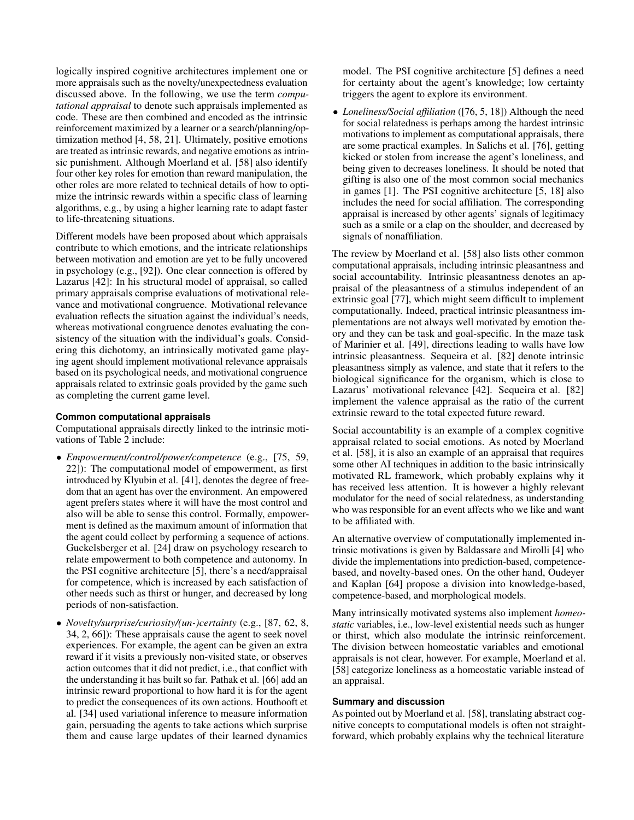logically inspired cognitive architectures implement one or more appraisals such as the novelty/unexpectedness evaluation discussed above. In the following, we use the term *computational appraisal* to denote such appraisals implemented as code. These are then combined and encoded as the intrinsic reinforcement maximized by a learner or a search/planning/optimization method [\[4,](#page-9-0) [58,](#page-11-1) [21\]](#page-9-2). Ultimately, positive emotions are treated as intrinsic rewards, and negative emotions as intrinsic punishment. Although Moerland et al. [\[58\]](#page-11-1) also identify four other key roles for emotion than reward manipulation, the other roles are more related to technical details of how to optimize the intrinsic rewards within a specific class of learning algorithms, e.g., by using a higher learning rate to adapt faster to life-threatening situations.

Different models have been proposed about which appraisals contribute to which emotions, and the intricate relationships between motivation and emotion are yet to be fully uncovered in psychology (e.g., [\[92\]](#page-12-14)). One clear connection is offered by Lazarus [\[42\]](#page-10-23): In his structural model of appraisal, so called primary appraisals comprise evaluations of motivational relevance and motivational congruence. Motivational relevance evaluation reflects the situation against the individual's needs, whereas motivational congruence denotes evaluating the consistency of the situation with the individual's goals. Considering this dichotomy, an intrinsically motivated game playing agent should implement motivational relevance appraisals based on its psychological needs, and motivational congruence appraisals related to extrinsic goals provided by the game such as completing the current game level.

#### **Common computational appraisals**

Computational appraisals directly linked to the intrinsic motivations of Table [2](#page-13-0) include:

- *Empowerment/control/power/competence* (e.g., [\[75,](#page-11-15) [59,](#page-11-16) [22\]](#page-9-18)): The computational model of empowerment, as first introduced by Klyubin et al. [\[41\]](#page-10-24), denotes the degree of freedom that an agent has over the environment. An empowered agent prefers states where it will have the most control and also will be able to sense this control. Formally, empowerment is defined as the maximum amount of information that the agent could collect by performing a sequence of actions. Guckelsberger et al. [\[24\]](#page-10-3) draw on psychology research to relate empowerment to both competence and autonomy. In the PSI cognitive architecture [\[5\]](#page-9-19), there's a need/appraisal for competence, which is increased by each satisfaction of other needs such as thirst or hunger, and decreased by long periods of non-satisfaction.
- *Novelty/surprise/curiosity/(un-)certainty* (e.g., [\[87,](#page-12-12) [62,](#page-11-17) [8,](#page-9-16) [34,](#page-10-21) [2,](#page-9-17) [66\]](#page-11-13)): These appraisals cause the agent to seek novel experiences. For example, the agent can be given an extra reward if it visits a previously non-visited state, or observes action outcomes that it did not predict, i.e., that conflict with the understanding it has built so far. Pathak et al. [\[66\]](#page-11-13) add an intrinsic reward proportional to how hard it is for the agent to predict the consequences of its own actions. Houthooft et al. [\[34\]](#page-10-21) used variational inference to measure information gain, persuading the agents to take actions which surprise them and cause large updates of their learned dynamics

model. The PSI cognitive architecture [\[5\]](#page-9-19) defines a need for certainty about the agent's knowledge; low certainty triggers the agent to explore its environment.

• *Loneliness/Social affiliation* ([\[76,](#page-11-18) [5,](#page-9-19) [18\]](#page-9-20)) Although the need for social relatedness is perhaps among the hardest intrinsic motivations to implement as computational appraisals, there are some practical examples. In Salichs et al. [\[76\]](#page-11-18), getting kicked or stolen from increase the agent's loneliness, and being given to decreases loneliness. It should be noted that gifting is also one of the most common social mechanics in games [\[1\]](#page-9-21). The PSI cognitive architecture [\[5,](#page-9-19) [18\]](#page-9-20) also includes the need for social affiliation. The corresponding appraisal is increased by other agents' signals of legitimacy such as a smile or a clap on the shoulder, and decreased by signals of nonaffiliation.

The review by Moerland et al. [\[58\]](#page-11-1) also lists other common computational appraisals, including intrinsic pleasantness and social accountability. Intrinsic pleasantness denotes an appraisal of the pleasantness of a stimulus independent of an extrinsic goal [\[77\]](#page-12-15), which might seem difficult to implement computationally. Indeed, practical intrinsic pleasantness implementations are not always well motivated by emotion theory and they can be task and goal-specific. In the maze task of Marinier et al. [\[49\]](#page-10-25), directions leading to walls have low intrinsic pleasantness. Sequeira et al. [\[82\]](#page-12-16) denote intrinsic pleasantness simply as valence, and state that it refers to the biological significance for the organism, which is close to Lazarus' motivational relevance [\[42\]](#page-10-23). Sequeira et al. [\[82\]](#page-12-16) implement the valence appraisal as the ratio of the current extrinsic reward to the total expected future reward.

Social accountability is an example of a complex cognitive appraisal related to social emotions. As noted by Moerland et al. [\[58\]](#page-11-1), it is also an example of an appraisal that requires some other AI techniques in addition to the basic intrinsically motivated RL framework, which probably explains why it has received less attention. It is however a highly relevant modulator for the need of social relatedness, as understanding who was responsible for an event affects who we like and want to be affiliated with.

An alternative overview of computationally implemented intrinsic motivations is given by Baldassare and Mirolli [\[4\]](#page-9-0) who divide the implementations into prediction-based, competencebased, and novelty-based ones. On the other hand, Oudeyer and Kaplan [\[64\]](#page-11-19) propose a division into knowledge-based, competence-based, and morphological models.

Many intrinsically motivated systems also implement *homeostatic* variables, i.e., low-level existential needs such as hunger or thirst, which also modulate the intrinsic reinforcement. The division between homeostatic variables and emotional appraisals is not clear, however. For example, Moerland et al. [\[58\]](#page-11-1) categorize loneliness as a homeostatic variable instead of an appraisal.

#### **Summary and discussion**

As pointed out by Moerland et al. [\[58\]](#page-11-1), translating abstract cognitive concepts to computational models is often not straightforward, which probably explains why the technical literature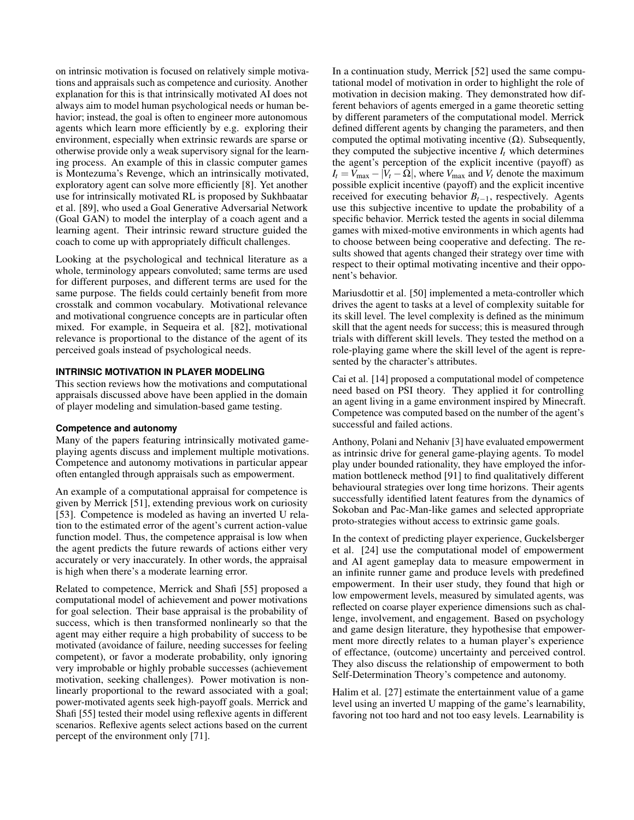on intrinsic motivation is focused on relatively simple motivations and appraisals such as competence and curiosity. Another explanation for this is that intrinsically motivated AI does not always aim to model human psychological needs or human behavior; instead, the goal is often to engineer more autonomous agents which learn more efficiently by e.g. exploring their environment, especially when extrinsic rewards are sparse or otherwise provide only a weak supervisory signal for the learning process. An example of this in classic computer games is Montezuma's Revenge, which an intrinsically motivated, exploratory agent can solve more efficiently [\[8\]](#page-9-16). Yet another use for intrinsically motivated RL is proposed by Sukhbaatar et al. [\[89\]](#page-12-17), who used a Goal Generative Adversarial Network (Goal GAN) to model the interplay of a coach agent and a learning agent. Their intrinsic reward structure guided the coach to come up with appropriately difficult challenges.

Looking at the psychological and technical literature as a whole, terminology appears convoluted; same terms are used for different purposes, and different terms are used for the same purpose. The fields could certainly benefit from more crosstalk and common vocabulary. Motivational relevance and motivational congruence concepts are in particular often mixed. For example, in Sequeira et al. [\[82\]](#page-12-16), motivational relevance is proportional to the distance of the agent of its perceived goals instead of psychological needs.

#### **INTRINSIC MOTIVATION IN PLAYER MODELING**

This section reviews how the motivations and computational appraisals discussed above have been applied in the domain of player modeling and simulation-based game testing.

#### **Competence and autonomy**

Many of the papers featuring intrinsically motivated gameplaying agents discuss and implement multiple motivations. Competence and autonomy motivations in particular appear often entangled through appraisals such as empowerment.

An example of a computational appraisal for competence is given by Merrick [\[51\]](#page-11-2), extending previous work on curiosity [\[53\]](#page-11-4). Competence is modeled as having an inverted U relation to the estimated error of the agent's current action-value function model. Thus, the competence appraisal is low when the agent predicts the future rewards of actions either very accurately or very inaccurately. In other words, the appraisal is high when there's a moderate learning error.

Related to competence, Merrick and Shafi [\[55\]](#page-11-3) proposed a computational model of achievement and power motivations for goal selection. Their base appraisal is the probability of success, which is then transformed nonlinearly so that the agent may either require a high probability of success to be motivated (avoidance of failure, needing successes for feeling competent), or favor a moderate probability, only ignoring very improbable or highly probable successes (achievement motivation, seeking challenges). Power motivation is nonlinearly proportional to the reward associated with a goal; power-motivated agents seek high-payoff goals. Merrick and Shafi [\[55\]](#page-11-3) tested their model using reflexive agents in different scenarios. Reflexive agents select actions based on the current percept of the environment only [\[71\]](#page-11-20).

In a continuation study, Merrick [\[52\]](#page-11-21) used the same computational model of motivation in order to highlight the role of motivation in decision making. They demonstrated how different behaviors of agents emerged in a game theoretic setting by different parameters of the computational model. Merrick defined different agents by changing the parameters, and then computed the optimal motivating incentive  $(Ω)$ . Subsequently, they computed the subjective incentive  $I_t$  which determines the agent's perception of the explicit incentive (payoff) as  $I_t = V_{\text{max}} - |V_t - \Omega|$ , where  $V_{\text{max}}$  and  $V_t$  denote the maximum possible explicit incentive (payoff) and the explicit incentive received for executing behavior  $B_{t-1}$ , respectively. Agents use this subjective incentive to update the probability of a specific behavior. Merrick tested the agents in social dilemma games with mixed-motive environments in which agents had to choose between being cooperative and defecting. The results showed that agents changed their strategy over time with respect to their optimal motivating incentive and their opponent's behavior.

Mariusdottir et al. [\[50\]](#page-11-6) implemented a meta-controller which drives the agent to tasks at a level of complexity suitable for its skill level. The level complexity is defined as the minimum skill that the agent needs for success; this is measured through trials with different skill levels. They tested the method on a role-playing game where the skill level of the agent is represented by the character's attributes.

Cai et al. [\[14\]](#page-9-7) proposed a computational model of competence need based on PSI theory. They applied it for controlling an agent living in a game environment inspired by Minecraft. Competence was computed based on the number of the agent's successful and failed actions.

Anthony, Polani and Nehaniv [\[3\]](#page-9-8) have evaluated empowerment as intrinsic drive for general game-playing agents. To model play under bounded rationality, they have employed the information bottleneck method [\[91\]](#page-12-18) to find qualitatively different behavioural strategies over long time horizons. Their agents successfully identified latent features from the dynamics of Sokoban and Pac-Man-like games and selected appropriate proto-strategies without access to extrinsic game goals.

In the context of predicting player experience, Guckelsberger et al. [\[24\]](#page-10-3) use the computational model of empowerment and AI agent gameplay data to measure empowerment in an infinite runner game and produce levels with predefined empowerment. In their user study, they found that high or low empowerment levels, measured by simulated agents, was reflected on coarse player experience dimensions such as challenge, involvement, and engagement. Based on psychology and game design literature, they hypothesise that empowerment more directly relates to a human player's experience of effectance, (outcome) uncertainty and perceived control. They also discuss the relationship of empowerment to both Self-Determination Theory's competence and autonomy.

Halim et al. [\[27\]](#page-10-8) estimate the entertainment value of a game level using an inverted U mapping of the game's learnability, favoring not too hard and not too easy levels. Learnability is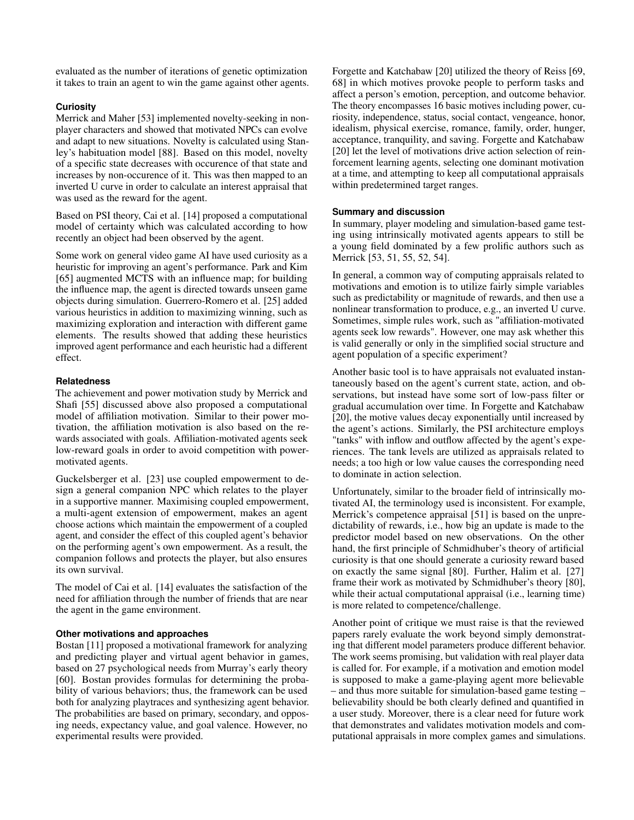evaluated as the number of iterations of genetic optimization it takes to train an agent to win the game against other agents.

#### **Curiosity**

Merrick and Maher [\[53\]](#page-11-4) implemented novelty-seeking in nonplayer characters and showed that motivated NPCs can evolve and adapt to new situations. Novelty is calculated using Stanley's habituation model [\[88\]](#page-12-19). Based on this model, novelty of a specific state decreases with occurence of that state and increases by non-occurence of it. This was then mapped to an inverted U curve in order to calculate an interest appraisal that was used as the reward for the agent.

Based on PSI theory, Cai et al. [\[14\]](#page-9-7) proposed a computational model of certainty which was calculated according to how recently an object had been observed by the agent.

Some work on general video game AI have used curiosity as a heuristic for improving an agent's performance. Park and Kim [\[65\]](#page-11-5) augmented MCTS with an influence map; for building the influence map, the agent is directed towards unseen game objects during simulation. Guerrero-Romero et al. [\[25\]](#page-10-9) added various heuristics in addition to maximizing winning, such as maximizing exploration and interaction with different game elements. The results showed that adding these heuristics improved agent performance and each heuristic had a different effect.

#### **Relatedness**

The achievement and power motivation study by Merrick and Shafi [\[55\]](#page-11-3) discussed above also proposed a computational model of affiliation motivation. Similar to their power motivation, the affiliation motivation is also based on the rewards associated with goals. Affiliation-motivated agents seek low-reward goals in order to avoid competition with powermotivated agents.

Guckelsberger et al. [\[23\]](#page-9-9) use coupled empowerment to design a general companion NPC which relates to the player in a supportive manner. Maximising coupled empowerment, a multi-agent extension of empowerment, makes an agent choose actions which maintain the empowerment of a coupled agent, and consider the effect of this coupled agent's behavior on the performing agent's own empowerment. As a result, the companion follows and protects the player, but also ensures its own survival.

The model of Cai et al. [\[14\]](#page-9-7) evaluates the satisfaction of the need for affiliation through the number of friends that are near the agent in the game environment.

#### **Other motivations and approaches**

Bostan [\[11\]](#page-9-5) proposed a motivational framework for analyzing and predicting player and virtual agent behavior in games, based on 27 psychological needs from Murray's early theory [\[60\]](#page-11-22). Bostan provides formulas for determining the probability of various behaviors; thus, the framework can be used both for analyzing playtraces and synthesizing agent behavior. The probabilities are based on primary, secondary, and opposing needs, expectancy value, and goal valence. However, no experimental results were provided.

Forgette and Katchabaw [\[20\]](#page-9-6) utilized the theory of Reiss [\[69,](#page-11-23) [68\]](#page-11-24) in which motives provoke people to perform tasks and affect a person's emotion, perception, and outcome behavior. The theory encompasses 16 basic motives including power, curiosity, independence, status, social contact, vengeance, honor, idealism, physical exercise, romance, family, order, hunger, acceptance, tranquility, and saving. Forgette and Katchabaw [\[20\]](#page-9-6) let the level of motivations drive action selection of reinforcement learning agents, selecting one dominant motivation at a time, and attempting to keep all computational appraisals within predetermined target ranges.

#### **Summary and discussion**

In summary, player modeling and simulation-based game testing using intrinsically motivated agents appears to still be a young field dominated by a few prolific authors such as Merrick [\[53,](#page-11-4) [51,](#page-11-2) [55,](#page-11-3) [52,](#page-11-21) [54\]](#page-11-25).

In general, a common way of computing appraisals related to motivations and emotion is to utilize fairly simple variables such as predictability or magnitude of rewards, and then use a nonlinear transformation to produce, e.g., an inverted U curve. Sometimes, simple rules work, such as "affiliation-motivated agents seek low rewards". However, one may ask whether this is valid generally or only in the simplified social structure and agent population of a specific experiment?

Another basic tool is to have appraisals not evaluated instantaneously based on the agent's current state, action, and observations, but instead have some sort of low-pass filter or gradual accumulation over time. In Forgette and Katchabaw [\[20\]](#page-9-6), the motive values decay exponentially until increased by the agent's actions. Similarly, the PSI architecture employs "tanks" with inflow and outflow affected by the agent's experiences. The tank levels are utilized as appraisals related to needs; a too high or low value causes the corresponding need to dominate in action selection.

Unfortunately, similar to the broader field of intrinsically motivated AI, the terminology used is inconsistent. For example, Merrick's competence appraisal [\[51\]](#page-11-2) is based on the unpredictability of rewards, i.e., how big an update is made to the predictor model based on new observations. On the other hand, the first principle of Schmidhuber's theory of artificial curiosity is that one should generate a curiosity reward based on exactly the same signal [\[80\]](#page-12-20). Further, Halim et al. [\[27\]](#page-10-8) frame their work as motivated by Schmidhuber's theory [\[80\]](#page-12-20), while their actual computational appraisal (i.e., learning time) is more related to competence/challenge.

Another point of critique we must raise is that the reviewed papers rarely evaluate the work beyond simply demonstrating that different model parameters produce different behavior. The work seems promising, but validation with real player data is called for. For example, if a motivation and emotion model is supposed to make a game-playing agent more believable – and thus more suitable for simulation-based game testing – believability should be both clearly defined and quantified in a user study. Moreover, there is a clear need for future work that demonstrates and validates motivation models and computational appraisals in more complex games and simulations.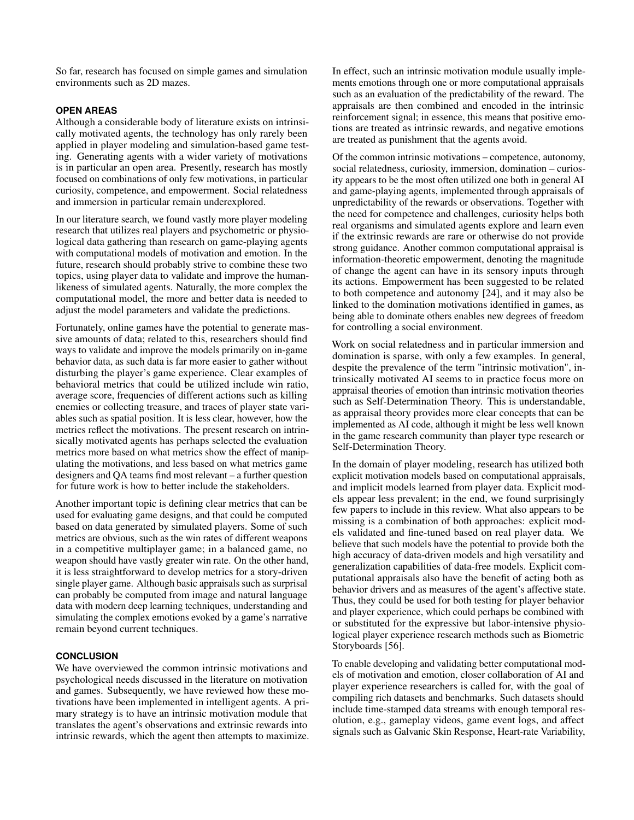So far, research has focused on simple games and simulation environments such as 2D mazes.

#### **OPEN AREAS**

Although a considerable body of literature exists on intrinsically motivated agents, the technology has only rarely been applied in player modeling and simulation-based game testing. Generating agents with a wider variety of motivations is in particular an open area. Presently, research has mostly focused on combinations of only few motivations, in particular curiosity, competence, and empowerment. Social relatedness and immersion in particular remain underexplored.

In our literature search, we found vastly more player modeling research that utilizes real players and psychometric or physiological data gathering than research on game-playing agents with computational models of motivation and emotion. In the future, research should probably strive to combine these two topics, using player data to validate and improve the humanlikeness of simulated agents. Naturally, the more complex the computational model, the more and better data is needed to adjust the model parameters and validate the predictions.

Fortunately, online games have the potential to generate massive amounts of data; related to this, researchers should find ways to validate and improve the models primarily on in-game behavior data, as such data is far more easier to gather without disturbing the player's game experience. Clear examples of behavioral metrics that could be utilized include win ratio, average score, frequencies of different actions such as killing enemies or collecting treasure, and traces of player state variables such as spatial position. It is less clear, however, how the metrics reflect the motivations. The present research on intrinsically motivated agents has perhaps selected the evaluation metrics more based on what metrics show the effect of manipulating the motivations, and less based on what metrics game designers and QA teams find most relevant – a further question for future work is how to better include the stakeholders.

Another important topic is defining clear metrics that can be used for evaluating game designs, and that could be computed based on data generated by simulated players. Some of such metrics are obvious, such as the win rates of different weapons in a competitive multiplayer game; in a balanced game, no weapon should have vastly greater win rate. On the other hand, it is less straightforward to develop metrics for a story-driven single player game. Although basic appraisals such as surprisal can probably be computed from image and natural language data with modern deep learning techniques, understanding and simulating the complex emotions evoked by a game's narrative remain beyond current techniques.

#### **CONCLUSION**

We have overviewed the common intrinsic motivations and psychological needs discussed in the literature on motivation and games. Subsequently, we have reviewed how these motivations have been implemented in intelligent agents. A primary strategy is to have an intrinsic motivation module that translates the agent's observations and extrinsic rewards into intrinsic rewards, which the agent then attempts to maximize. In effect, such an intrinsic motivation module usually implements emotions through one or more computational appraisals such as an evaluation of the predictability of the reward. The appraisals are then combined and encoded in the intrinsic reinforcement signal; in essence, this means that positive emotions are treated as intrinsic rewards, and negative emotions are treated as punishment that the agents avoid.

Of the common intrinsic motivations – competence, autonomy, social relatedness, curiosity, immersion, domination – curiosity appears to be the most often utilized one both in general AI and game-playing agents, implemented through appraisals of unpredictability of the rewards or observations. Together with the need for competence and challenges, curiosity helps both real organisms and simulated agents explore and learn even if the extrinsic rewards are rare or otherwise do not provide strong guidance. Another common computational appraisal is information-theoretic empowerment, denoting the magnitude of change the agent can have in its sensory inputs through its actions. Empowerment has been suggested to be related to both competence and autonomy [\[24\]](#page-10-3), and it may also be linked to the domination motivations identified in games, as being able to dominate others enables new degrees of freedom for controlling a social environment.

Work on social relatedness and in particular immersion and domination is sparse, with only a few examples. In general, despite the prevalence of the term "intrinsic motivation", intrinsically motivated AI seems to in practice focus more on appraisal theories of emotion than intrinsic motivation theories such as Self-Determination Theory. This is understandable, as appraisal theory provides more clear concepts that can be implemented as AI code, although it might be less well known in the game research community than player type research or Self-Determination Theory.

In the domain of player modeling, research has utilized both explicit motivation models based on computational appraisals, and implicit models learned from player data. Explicit models appear less prevalent; in the end, we found surprisingly few papers to include in this review. What also appears to be missing is a combination of both approaches: explicit models validated and fine-tuned based on real player data. We believe that such models have the potential to provide both the high accuracy of data-driven models and high versatility and generalization capabilities of data-free models. Explicit computational appraisals also have the benefit of acting both as behavior drivers and as measures of the agent's affective state. Thus, they could be used for both testing for player behavior and player experience, which could perhaps be combined with or substituted for the expressive but labor-intensive physiological player experience research methods such as Biometric Storyboards [\[56\]](#page-11-26).

To enable developing and validating better computational models of motivation and emotion, closer collaboration of AI and player experience researchers is called for, with the goal of compiling rich datasets and benchmarks. Such datasets should include time-stamped data streams with enough temporal resolution, e.g., gameplay videos, game event logs, and affect signals such as Galvanic Skin Response, Heart-rate Variability,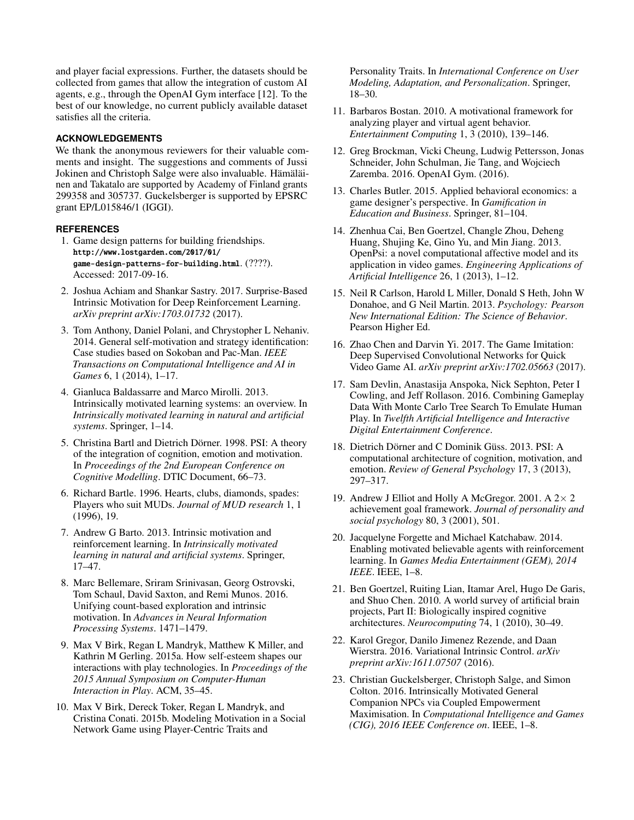and player facial expressions. Further, the datasets should be collected from games that allow the integration of custom AI agents, e.g., through the OpenAI Gym interface [\[12\]](#page-9-22). To the best of our knowledge, no current publicly available dataset satisfies all the criteria.

#### **ACKNOWLEDGEMENTS**

We thank the anonymous reviewers for their valuable comments and insight. The suggestions and comments of Jussi Jokinen and Christoph Salge were also invaluable. Hämäläinen and Takatalo are supported by Academy of Finland grants 299358 and 305737. Guckelsberger is supported by EPSRC grant EP/L015846/1 (IGGI).

#### <span id="page-9-21"></span>**REFERENCES**

- 1. Game design patterns for building friendships. [http://www.lostgarden.com/2017/01/](http://www.lostgarden.com/2017/01/game-design-patterns-for-building.html) [game-design-patterns-for-building.html](http://www.lostgarden.com/2017/01/game-design-patterns-for-building.html). (????). Accessed: 2017-09-16.
- <span id="page-9-17"></span>2. Joshua Achiam and Shankar Sastry. 2017. Surprise-Based Intrinsic Motivation for Deep Reinforcement Learning. *arXiv preprint arXiv:1703.01732* (2017).
- <span id="page-9-8"></span>3. Tom Anthony, Daniel Polani, and Chrystopher L Nehaniv. 2014. General self-motivation and strategy identification: Case studies based on Sokoban and Pac-Man. *IEEE Transactions on Computational Intelligence and AI in Games* 6, 1 (2014), 1–17.
- <span id="page-9-0"></span>4. Gianluca Baldassarre and Marco Mirolli. 2013. Intrinsically motivated learning systems: an overview. In *Intrinsically motivated learning in natural and artificial systems*. Springer, 1–14.
- <span id="page-9-19"></span>5. Christina Bartl and Dietrich Dörner. 1998. PSI: A theory of the integration of cognition, emotion and motivation. In *Proceedings of the 2nd European Conference on Cognitive Modelling*. DTIC Document, 66–73.
- <span id="page-9-13"></span>6. Richard Bartle. 1996. Hearts, clubs, diamonds, spades: Players who suit MUDs. *Journal of MUD research* 1, 1 (1996), 19.
- <span id="page-9-1"></span>7. Andrew G Barto. 2013. Intrinsic motivation and reinforcement learning. In *Intrinsically motivated learning in natural and artificial systems*. Springer, 17–47.
- <span id="page-9-16"></span>8. Marc Bellemare, Sriram Srinivasan, Georg Ostrovski, Tom Schaul, David Saxton, and Remi Munos. 2016. Unifying count-based exploration and intrinsic motivation. In *Advances in Neural Information Processing Systems*. 1471–1479.
- <span id="page-9-4"></span>9. Max V Birk, Regan L Mandryk, Matthew K Miller, and Kathrin M Gerling. 2015a. How self-esteem shapes our interactions with play technologies. In *Proceedings of the 2015 Annual Symposium on Computer-Human Interaction in Play*. ACM, 35–45.
- <span id="page-9-3"></span>10. Max V Birk, Dereck Toker, Regan L Mandryk, and Cristina Conati. 2015b. Modeling Motivation in a Social Network Game using Player-Centric Traits and

Personality Traits. In *International Conference on User Modeling, Adaptation, and Personalization*. Springer, 18–30.

- <span id="page-9-5"></span>11. Barbaros Bostan. 2010. A motivational framework for analyzing player and virtual agent behavior. *Entertainment Computing* 1, 3 (2010), 139–146.
- <span id="page-9-22"></span>12. Greg Brockman, Vicki Cheung, Ludwig Pettersson, Jonas Schneider, John Schulman, Jie Tang, and Wojciech Zaremba. 2016. OpenAI Gym. (2016).
- <span id="page-9-15"></span>13. Charles Butler. 2015. Applied behavioral economics: a game designer's perspective. In *Gamification in Education and Business*. Springer, 81–104.
- <span id="page-9-7"></span>14. Zhenhua Cai, Ben Goertzel, Changle Zhou, Deheng Huang, Shujing Ke, Gino Yu, and Min Jiang. 2013. OpenPsi: a novel computational affective model and its application in video games. *Engineering Applications of Artificial Intelligence* 26, 1 (2013), 1–12.
- <span id="page-9-14"></span>15. Neil R Carlson, Harold L Miller, Donald S Heth, John W Donahoe, and G Neil Martin. 2013. *Psychology: Pearson New International Edition: The Science of Behavior*. Pearson Higher Ed.
- <span id="page-9-11"></span>16. Zhao Chen and Darvin Yi. 2017. The Game Imitation: Deep Supervised Convolutional Networks for Quick Video Game AI. *arXiv preprint arXiv:1702.05663* (2017).
- <span id="page-9-10"></span>17. Sam Devlin, Anastasija Anspoka, Nick Sephton, Peter I Cowling, and Jeff Rollason. 2016. Combining Gameplay Data With Monte Carlo Tree Search To Emulate Human Play. In *Twelfth Artificial Intelligence and Interactive Digital Entertainment Conference*.
- <span id="page-9-20"></span>18. Dietrich Dörner and C Dominik Güss. 2013. PSI: A computational architecture of cognition, motivation, and emotion. *Review of General Psychology* 17, 3 (2013), 297–317.
- <span id="page-9-12"></span>19. Andrew J Elliot and Holly A McGregor. 2001. A  $2 \times 2$ achievement goal framework. *Journal of personality and social psychology* 80, 3 (2001), 501.
- <span id="page-9-6"></span>20. Jacquelyne Forgette and Michael Katchabaw. 2014. Enabling motivated believable agents with reinforcement learning. In *Games Media Entertainment (GEM), 2014 IEEE*. IEEE, 1–8.
- <span id="page-9-2"></span>21. Ben Goertzel, Ruiting Lian, Itamar Arel, Hugo De Garis, and Shuo Chen. 2010. A world survey of artificial brain projects, Part II: Biologically inspired cognitive architectures. *Neurocomputing* 74, 1 (2010), 30–49.
- <span id="page-9-18"></span>22. Karol Gregor, Danilo Jimenez Rezende, and Daan Wierstra. 2016. Variational Intrinsic Control. *arXiv preprint arXiv:1611.07507* (2016).
- <span id="page-9-9"></span>23. Christian Guckelsberger, Christoph Salge, and Simon Colton. 2016. Intrinsically Motivated General Companion NPCs via Coupled Empowerment Maximisation. In *Computational Intelligence and Games (CIG), 2016 IEEE Conference on*. IEEE, 1–8.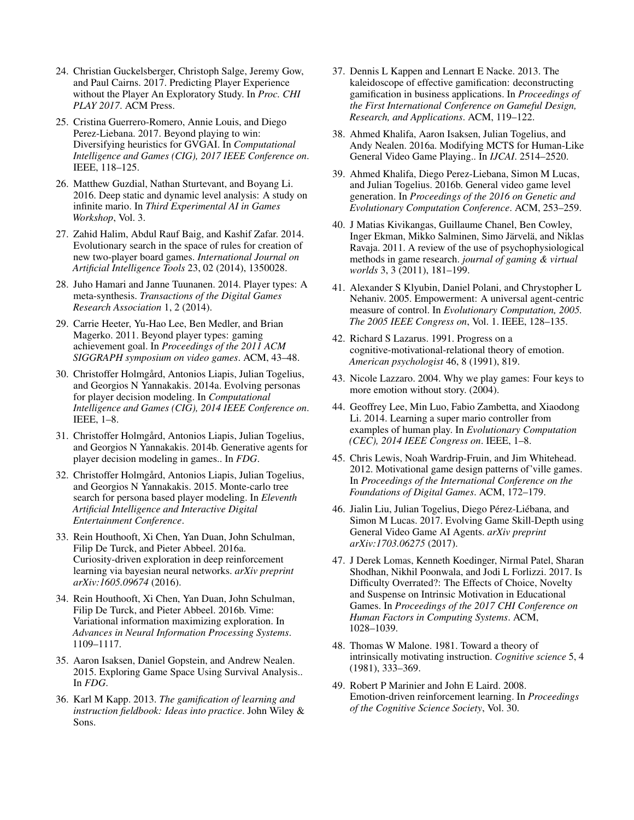- <span id="page-10-3"></span>24. Christian Guckelsberger, Christoph Salge, Jeremy Gow, and Paul Cairns. 2017. Predicting Player Experience without the Player An Exploratory Study. In *Proc. CHI PLAY 2017*. ACM Press.
- <span id="page-10-9"></span>25. Cristina Guerrero-Romero, Annie Louis, and Diego Perez-Liebana. 2017. Beyond playing to win: Diversifying heuristics for GVGAI. In *Computational Intelligence and Games (CIG), 2017 IEEE Conference on*. IEEE, 118–125.
- <span id="page-10-7"></span>26. Matthew Guzdial, Nathan Sturtevant, and Boyang Li. 2016. Deep static and dynamic level analysis: A study on infinite mario. In *Third Experimental AI in Games Workshop*, Vol. 3.
- <span id="page-10-8"></span>27. Zahid Halim, Abdul Rauf Baig, and Kashif Zafar. 2014. Evolutionary search in the space of rules for creation of new two-player board games. *International Journal on Artificial Intelligence Tools* 23, 02 (2014), 1350028.
- <span id="page-10-1"></span>28. Juho Hamari and Janne Tuunanen. 2014. Player types: A meta-synthesis. *Transactions of the Digital Games Research Association* 1, 2 (2014).
- <span id="page-10-18"></span>29. Carrie Heeter, Yu-Hao Lee, Ben Medler, and Brian Magerko. 2011. Beyond player types: gaming achievement goal. In *Proceedings of the 2011 ACM SIGGRAPH symposium on video games*. ACM, 43–48.
- <span id="page-10-14"></span>30. Christoffer Holmgård, Antonios Liapis, Julian Togelius, and Georgios N Yannakakis. 2014a. Evolving personas for player decision modeling. In *Computational Intelligence and Games (CIG), 2014 IEEE Conference on*. IEEE, 1–8.
- <span id="page-10-12"></span>31. Christoffer Holmgård, Antonios Liapis, Julian Togelius, and Georgios N Yannakakis. 2014b. Generative agents for player decision modeling in games.. In *FDG*.
- <span id="page-10-13"></span>32. Christoffer Holmgård, Antonios Liapis, Julian Togelius, and Georgios N Yannakakis. 2015. Monte-carlo tree search for persona based player modeling. In *Eleventh Artificial Intelligence and Interactive Digital Entertainment Conference*.
- <span id="page-10-22"></span>33. Rein Houthooft, Xi Chen, Yan Duan, John Schulman, Filip De Turck, and Pieter Abbeel. 2016a. Curiosity-driven exploration in deep reinforcement learning via bayesian neural networks. *arXiv preprint arXiv:1605.09674* (2016).
- <span id="page-10-21"></span>34. Rein Houthooft, Xi Chen, Yan Duan, John Schulman, Filip De Turck, and Pieter Abbeel. 2016b. Vime: Variational information maximizing exploration. In *Advances in Neural Information Processing Systems*. 1109–1117.
- <span id="page-10-5"></span>35. Aaron Isaksen, Daniel Gopstein, and Andrew Nealen. 2015. Exploring Game Space Using Survival Analysis.. In *FDG*.
- <span id="page-10-2"></span>36. Karl M Kapp. 2013. *The gamification of learning and instruction fieldbook: Ideas into practice*. John Wiley & Sons.
- <span id="page-10-15"></span>37. Dennis L Kappen and Lennart E Nacke. 2013. The kaleidoscope of effective gamification: deconstructing gamification in business applications. In *Proceedings of the First International Conference on Gameful Design, Research, and Applications*. ACM, 119–122.
- <span id="page-10-10"></span>38. Ahmed Khalifa, Aaron Isaksen, Julian Togelius, and Andy Nealen. 2016a. Modifying MCTS for Human-Like General Video Game Playing.. In *IJCAI*. 2514–2520.
- <span id="page-10-6"></span>39. Ahmed Khalifa, Diego Perez-Liebana, Simon M Lucas, and Julian Togelius. 2016b. General video game level generation. In *Proceedings of the 2016 on Genetic and Evolutionary Computation Conference*. ACM, 253–259.
- <span id="page-10-4"></span>40. J Matias Kivikangas, Guillaume Chanel, Ben Cowley, Inger Ekman, Mikko Salminen, Simo Järvelä, and Niklas Ravaja. 2011. A review of the use of psychophysiological methods in game research. *journal of gaming & virtual worlds* 3, 3 (2011), 181–199.
- <span id="page-10-24"></span>41. Alexander S Klyubin, Daniel Polani, and Chrystopher L Nehaniv. 2005. Empowerment: A universal agent-centric measure of control. In *Evolutionary Computation, 2005. The 2005 IEEE Congress on*, Vol. 1. IEEE, 128–135.
- <span id="page-10-23"></span>42. Richard S Lazarus. 1991. Progress on a cognitive-motivational-relational theory of emotion. *American psychologist* 46, 8 (1991), 819.
- <span id="page-10-19"></span>43. Nicole Lazzaro. 2004. Why we play games: Four keys to more emotion without story. (2004).
- <span id="page-10-11"></span>44. Geoffrey Lee, Min Luo, Fabio Zambetta, and Xiaodong Li. 2014. Learning a super mario controller from examples of human play. In *Evolutionary Computation (CEC), 2014 IEEE Congress on*. IEEE, 1–8.
- <span id="page-10-20"></span>45. Chris Lewis, Noah Wardrip-Fruin, and Jim Whitehead. 2012. Motivational game design patterns of'ville games. In *Proceedings of the International Conference on the Foundations of Digital Games*. ACM, 172–179.
- <span id="page-10-0"></span>46. Jialin Liu, Julian Togelius, Diego Pérez-Liébana, and Simon M Lucas. 2017. Evolving Game Skill-Depth using General Video Game AI Agents. *arXiv preprint arXiv:1703.06275* (2017).
- <span id="page-10-17"></span>47. J Derek Lomas, Kenneth Koedinger, Nirmal Patel, Sharan Shodhan, Nikhil Poonwala, and Jodi L Forlizzi. 2017. Is Difficulty Overrated?: The Effects of Choice, Novelty and Suspense on Intrinsic Motivation in Educational Games. In *Proceedings of the 2017 CHI Conference on Human Factors in Computing Systems*. ACM, 1028–1039.
- <span id="page-10-16"></span>48. Thomas W Malone. 1981. Toward a theory of intrinsically motivating instruction. *Cognitive science* 5, 4 (1981), 333–369.
- <span id="page-10-25"></span>49. Robert P Marinier and John E Laird. 2008. Emotion-driven reinforcement learning. In *Proceedings of the Cognitive Science Society*, Vol. 30.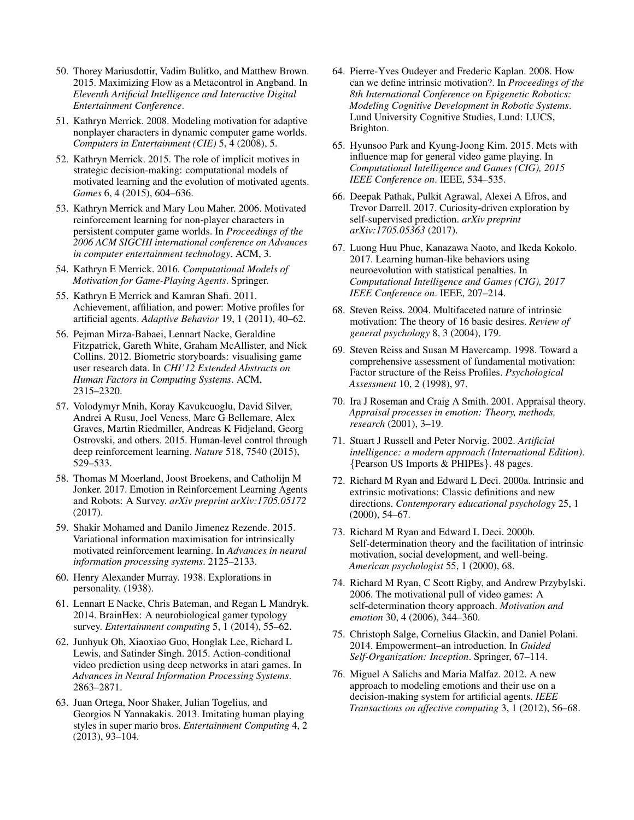- <span id="page-11-6"></span>50. Thorey Mariusdottir, Vadim Bulitko, and Matthew Brown. 2015. Maximizing Flow as a Metacontrol in Angband. In *Eleventh Artificial Intelligence and Interactive Digital Entertainment Conference*.
- <span id="page-11-2"></span>51. Kathryn Merrick. 2008. Modeling motivation for adaptive nonplayer characters in dynamic computer game worlds. *Computers in Entertainment (CIE)* 5, 4 (2008), 5.
- <span id="page-11-21"></span>52. Kathryn Merrick. 2015. The role of implicit motives in strategic decision-making: computational models of motivated learning and the evolution of motivated agents. *Games* 6, 4 (2015), 604–636.
- <span id="page-11-4"></span>53. Kathryn Merrick and Mary Lou Maher. 2006. Motivated reinforcement learning for non-player characters in persistent computer game worlds. In *Proceedings of the 2006 ACM SIGCHI international conference on Advances in computer entertainment technology*. ACM, 3.
- <span id="page-11-25"></span>54. Kathryn E Merrick. 2016. *Computational Models of Motivation for Game-Playing Agents*. Springer.
- <span id="page-11-3"></span>55. Kathryn E Merrick and Kamran Shafi. 2011. Achievement, affiliation, and power: Motive profiles for artificial agents. *Adaptive Behavior* 19, 1 (2011), 40–62.
- <span id="page-11-26"></span>56. Pejman Mirza-Babaei, Lennart Nacke, Geraldine Fitzpatrick, Gareth White, Graham McAllister, and Nick Collins. 2012. Biometric storyboards: visualising game user research data. In *CHI'12 Extended Abstracts on Human Factors in Computing Systems*. ACM, 2315–2320.
- <span id="page-11-0"></span>57. Volodymyr Mnih, Koray Kavukcuoglu, David Silver, Andrei A Rusu, Joel Veness, Marc G Bellemare, Alex Graves, Martin Riedmiller, Andreas K Fidjeland, Georg Ostrovski, and others. 2015. Human-level control through deep reinforcement learning. *Nature* 518, 7540 (2015), 529–533.
- <span id="page-11-1"></span>58. Thomas M Moerland, Joost Broekens, and Catholijn M Jonker. 2017. Emotion in Reinforcement Learning Agents and Robots: A Survey. *arXiv preprint arXiv:1705.05172* (2017).
- <span id="page-11-16"></span>59. Shakir Mohamed and Danilo Jimenez Rezende. 2015. Variational information maximisation for intrinsically motivated reinforcement learning. In *Advances in neural information processing systems*. 2125–2133.
- <span id="page-11-22"></span>60. Henry Alexander Murray. 1938. Explorations in personality. (1938).
- <span id="page-11-12"></span>61. Lennart E Nacke, Chris Bateman, and Regan L Mandryk. 2014. BrainHex: A neurobiological gamer typology survey. *Entertainment computing* 5, 1 (2014), 55–62.
- <span id="page-11-17"></span>62. Junhyuk Oh, Xiaoxiao Guo, Honglak Lee, Richard L Lewis, and Satinder Singh. 2015. Action-conditional video prediction using deep networks in atari games. In *Advances in Neural Information Processing Systems*. 2863–2871.
- <span id="page-11-7"></span>63. Juan Ortega, Noor Shaker, Julian Togelius, and Georgios N Yannakakis. 2013. Imitating human playing styles in super mario bros. *Entertainment Computing* 4, 2 (2013), 93–104.
- <span id="page-11-19"></span>64. Pierre-Yves Oudeyer and Frederic Kaplan. 2008. How can we define intrinsic motivation?. In *Proceedings of the 8th International Conference on Epigenetic Robotics: Modeling Cognitive Development in Robotic Systems*. Lund University Cognitive Studies, Lund: LUCS, Brighton.
- <span id="page-11-5"></span>65. Hyunsoo Park and Kyung-Joong Kim. 2015. Mcts with influence map for general video game playing. In *Computational Intelligence and Games (CIG), 2015 IEEE Conference on*. IEEE, 534–535.
- <span id="page-11-13"></span>66. Deepak Pathak, Pulkit Agrawal, Alexei A Efros, and Trevor Darrell. 2017. Curiosity-driven exploration by self-supervised prediction. *arXiv preprint arXiv:1705.05363* (2017).
- <span id="page-11-8"></span>67. Luong Huu Phuc, Kanazawa Naoto, and Ikeda Kokolo. 2017. Learning human-like behaviors using neuroevolution with statistical penalties. In *Computational Intelligence and Games (CIG), 2017 IEEE Conference on*. IEEE, 207–214.
- <span id="page-11-24"></span>68. Steven Reiss. 2004. Multifaceted nature of intrinsic motivation: The theory of 16 basic desires. *Review of general psychology* 8, 3 (2004), 179.
- <span id="page-11-23"></span>69. Steven Reiss and Susan M Havercamp. 1998. Toward a comprehensive assessment of fundamental motivation: Factor structure of the Reiss Profiles. *Psychological Assessment* 10, 2 (1998), 97.
- <span id="page-11-14"></span>70. Ira J Roseman and Craig A Smith. 2001. Appraisal theory. *Appraisal processes in emotion: Theory, methods, research* (2001), 3–19.
- <span id="page-11-20"></span>71. Stuart J Russell and Peter Norvig. 2002. *Artificial intelligence: a modern approach (International Edition)*. {Pearson US Imports & PHIPEs}. 48 pages.
- <span id="page-11-9"></span>72. Richard M Ryan and Edward L Deci. 2000a. Intrinsic and extrinsic motivations: Classic definitions and new directions. *Contemporary educational psychology* 25, 1 (2000), 54–67.
- <span id="page-11-10"></span>73. Richard M Ryan and Edward L Deci. 2000b. Self-determination theory and the facilitation of intrinsic motivation, social development, and well-being. *American psychologist* 55, 1 (2000), 68.
- <span id="page-11-11"></span>74. Richard M Ryan, C Scott Rigby, and Andrew Przybylski. 2006. The motivational pull of video games: A self-determination theory approach. *Motivation and emotion* 30, 4 (2006), 344–360.
- <span id="page-11-15"></span>75. Christoph Salge, Cornelius Glackin, and Daniel Polani. 2014. Empowerment–an introduction. In *Guided Self-Organization: Inception*. Springer, 67–114.
- <span id="page-11-18"></span>76. Miguel A Salichs and Maria Malfaz. 2012. A new approach to modeling emotions and their use on a decision-making system for artificial agents. *IEEE Transactions on affective computing* 3, 1 (2012), 56–68.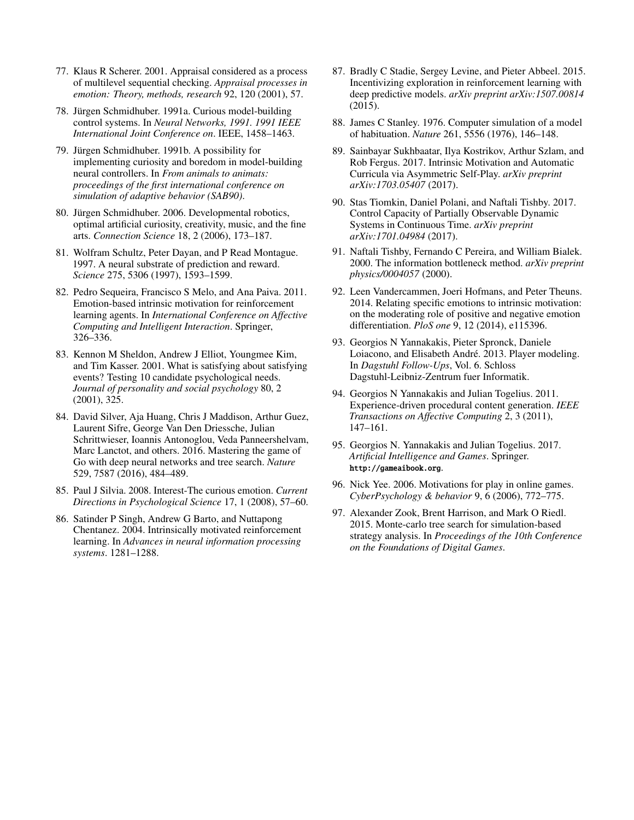- <span id="page-12-15"></span>77. Klaus R Scherer. 2001. Appraisal considered as a process of multilevel sequential checking. *Appraisal processes in emotion: Theory, methods, research* 92, 120 (2001), 57.
- <span id="page-12-8"></span>78. Jürgen Schmidhuber. 1991a. Curious model-building control systems. In *Neural Networks, 1991. 1991 IEEE International Joint Conference on*. IEEE, 1458–1463.
- <span id="page-12-9"></span>79. Jürgen Schmidhuber. 1991b. A possibility for implementing curiosity and boredom in model-building neural controllers. In *From animals to animats: proceedings of the first international conference on simulation of adaptive behavior (SAB90)*.
- <span id="page-12-20"></span>80. Jürgen Schmidhuber. 2006. Developmental robotics, optimal artificial curiosity, creativity, music, and the fine arts. *Connection Science* 18, 2 (2006), 173–187.
- <span id="page-12-11"></span>81. Wolfram Schultz, Peter Dayan, and P Read Montague. 1997. A neural substrate of prediction and reward. *Science* 275, 5306 (1997), 1593–1599.
- <span id="page-12-16"></span>82. Pedro Sequeira, Francisco S Melo, and Ana Paiva. 2011. Emotion-based intrinsic motivation for reinforcement learning agents. In *International Conference on Affective Computing and Intelligent Interaction*. Springer, 326–336.
- <span id="page-12-5"></span>83. Kennon M Sheldon, Andrew J Elliot, Youngmee Kim, and Tim Kasser. 2001. What is satisfying about satisfying events? Testing 10 candidate psychological needs. *Journal of personality and social psychology* 80, 2 (2001), 325.
- <span id="page-12-0"></span>84. David Silver, Aja Huang, Chris J Maddison, Arthur Guez, Laurent Sifre, George Van Den Driessche, Julian Schrittwieser, Ioannis Antonoglou, Veda Panneershelvam, Marc Lanctot, and others. 2016. Mastering the game of Go with deep neural networks and tree search. *Nature* 529, 7587 (2016), 484–489.
- <span id="page-12-6"></span>85. Paul J Silvia. 2008. Interest-The curious emotion. *Current Directions in Psychological Science* 17, 1 (2008), 57–60.
- <span id="page-12-10"></span>86. Satinder P Singh, Andrew G Barto, and Nuttapong Chentanez. 2004. Intrinsically motivated reinforcement learning. In *Advances in neural information processing systems*. 1281–1288.
- <span id="page-12-12"></span>87. Bradly C Stadie, Sergey Levine, and Pieter Abbeel. 2015. Incentivizing exploration in reinforcement learning with deep predictive models. *arXiv preprint arXiv:1507.00814* (2015).
- <span id="page-12-19"></span>88. James C Stanley. 1976. Computer simulation of a model of habituation. *Nature* 261, 5556 (1976), 146–148.
- <span id="page-12-17"></span>89. Sainbayar Sukhbaatar, Ilya Kostrikov, Arthur Szlam, and Rob Fergus. 2017. Intrinsic Motivation and Automatic Curricula via Asymmetric Self-Play. *arXiv preprint arXiv:1703.05407* (2017).
- <span id="page-12-13"></span>90. Stas Tiomkin, Daniel Polani, and Naftali Tishby. 2017. Control Capacity of Partially Observable Dynamic Systems in Continuous Time. *arXiv preprint arXiv:1701.04984* (2017).
- <span id="page-12-18"></span>91. Naftali Tishby, Fernando C Pereira, and William Bialek. 2000. The information bottleneck method. *arXiv preprint physics/0004057* (2000).
- <span id="page-12-14"></span>92. Leen Vandercammen, Joeri Hofmans, and Peter Theuns. 2014. Relating specific emotions to intrinsic motivation: on the moderating role of positive and negative emotion differentiation. *PloS one* 9, 12 (2014), e115396.
- <span id="page-12-2"></span>93. Georgios N Yannakakis, Pieter Spronck, Daniele Loiacono, and Elisabeth André. 2013. Player modeling. In *Dagstuhl Follow-Ups*, Vol. 6. Schloss Dagstuhl-Leibniz-Zentrum fuer Informatik.
- <span id="page-12-3"></span>94. Georgios N Yannakakis and Julian Togelius. 2011. Experience-driven procedural content generation. *IEEE Transactions on Affective Computing* 2, 3 (2011), 147–161.
- <span id="page-12-4"></span>95. Georgios N. Yannakakis and Julian Togelius. 2017. *Artificial Intelligence and Games*. Springer. <http://gameaibook.org>.
- <span id="page-12-7"></span>96. Nick Yee. 2006. Motivations for play in online games. *CyberPsychology & behavior* 9, 6 (2006), 772–775.
- <span id="page-12-1"></span>97. Alexander Zook, Brent Harrison, and Mark O Riedl. 2015. Monte-carlo tree search for simulation-based strategy analysis. In *Proceedings of the 10th Conference on the Foundations of Digital Games*.